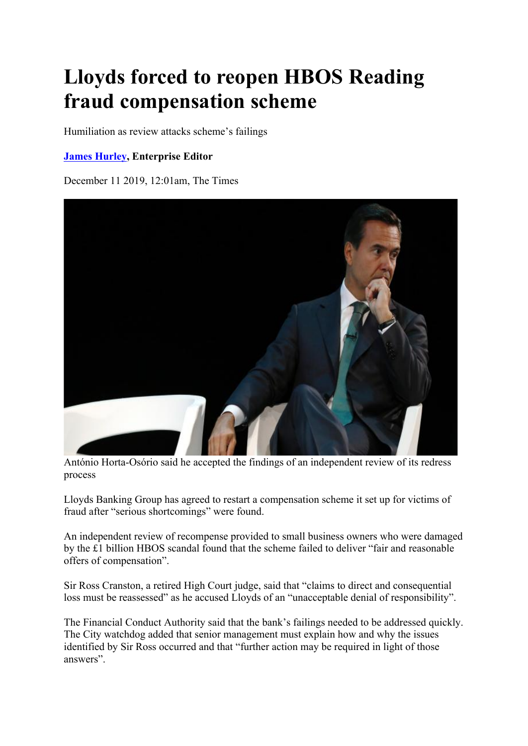## **Lloyds forced to reopen HBOS Reading fraud compensation scheme**

Humiliation as review attacks scheme's failings

## **James Hurley, Enterprise Editor**

December 11 2019, 12:01am, The Times



António Horta-Osório said he accepted the findings of an independent review of its redress process

Lloyds Banking Group has agreed to restart a compensation scheme it set up for victims of fraud after "serious shortcomings" were found.

An independent review of recompense provided to small business owners who were damaged by the £1 billion HBOS scandal found that the scheme failed to deliver "fair and reasonable offers of compensation".

Sir Ross Cranston, a retired High Court judge, said that "claims to direct and consequential loss must be reassessed" as he accused Lloyds of an "unacceptable denial of responsibility".

The Financial Conduct Authority said that the bank's failings needed to be addressed quickly. The City watchdog added that senior management must explain how and why the issues identified by Sir Ross occurred and that "further action may be required in light of those answers".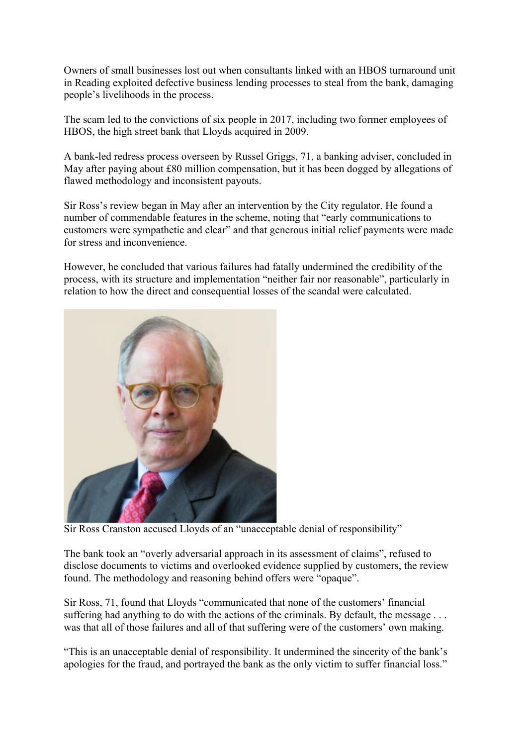Owners of small businesses lost out when consultants linked with an HBOS turnaround unit in Reading exploited defective business lending processes to steal from the bank, damaging people's livelihoods in the process.

The scam led to the convictions of six people in 2017, including two former employees of HBOS, the high street bank that Lloyds acquired in 2009.

A bank-led redress process overseen by Russel Griggs, 71, a banking adviser, concluded in May after paying about £80 million compensation, but it has been dogged by allegations of flawed methodology and inconsistent payouts.

Sir Ross's review began in May after an intervention by the City regulator. He found a number of commendable features in the scheme, noting that "early communications to customers were sympathetic and clear" and that generous initial relief payments were made for stress and inconvenience.

However, he concluded that various failures had fatally undermined the credibility of the process, with its structure and implementation "neither fair nor reasonable", particularly in relation to how the direct and consequential losses of the scandal were calculated.



Sir Ross Cranston accused Lloyds of an "unacceptable denial of responsibility"

The bank took an "overly adversarial approach in its assessment of claims", refused to disclose documents to victims and overlooked evidence supplied by customers, the review found. The methodology and reasoning behind offers were "opaque".

Sir Ross, 71, found that Lloyds "communicated that none of the customers' financial suffering had anything to do with the actions of the criminals. By default, the message ... was that all of those failures and all of that suffering were of the customers' own making.

"This is an unacceptable denial of responsibility. It undermined the sincerity of the bank's apologies for the fraud, and portrayed the bank as the only victim to suffer financial loss."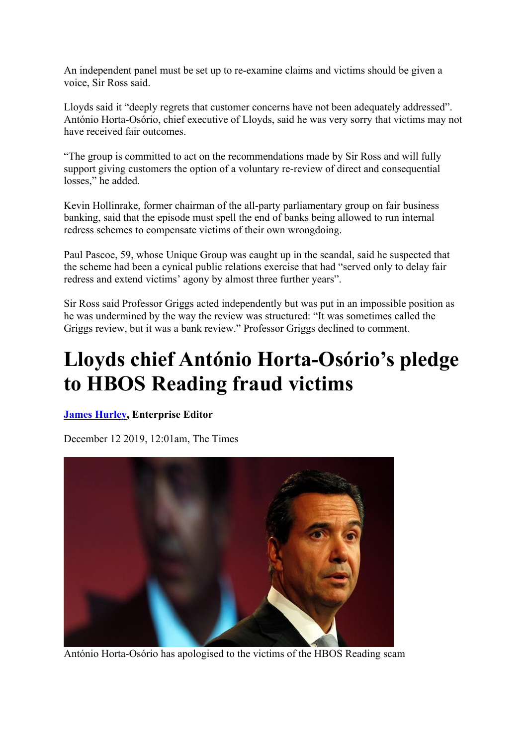An independent panel must be set up to re-examine claims and victims should be given a voice, Sir Ross said.

Lloyds said it "deeply regrets that customer concerns have not been adequately addressed". António Horta-Osório, chief executive of Lloyds, said he was very sorry that victims may not have received fair outcomes.

"The group is committed to act on the recommendations made by Sir Ross and will fully support giving customers the option of a voluntary re-review of direct and consequential losses," he added.

Kevin Hollinrake, former chairman of the all-party parliamentary group on fair business banking, said that the episode must spell the end of banks being allowed to run internal redress schemes to compensate victims of their own wrongdoing.

Paul Pascoe, 59, whose Unique Group was caught up in the scandal, said he suspected that the scheme had been a cynical public relations exercise that had "served only to delay fair redress and extend victims' agony by almost three further years".

Sir Ross said Professor Griggs acted independently but was put in an impossible position as he was undermined by the way the review was structured: "It was sometimes called the Griggs review, but it was a bank review." Professor Griggs declined to comment.

## **Lloyds chief António Horta-Osório's pledge to HBOS Reading fraud victims**

## **James Hurley, Enterprise Editor**

December 12 2019, 12:01am, The Times



António Horta-Osório has apologised to the victims of the HBOS Reading scam